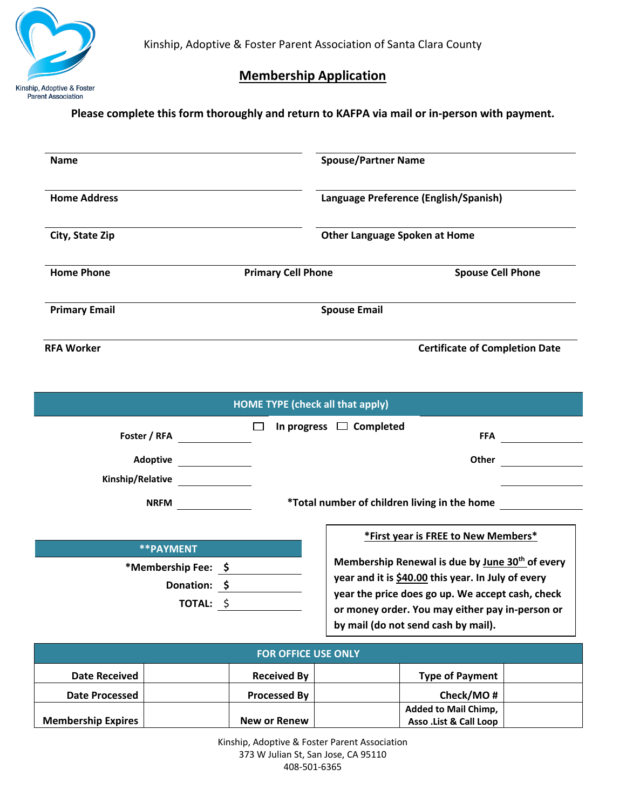

## **Membership Application**

## **Please complete this form thoroughly and return to KAFPA via mail or in-person with payment.**

| <b>Name</b>          |                           | <b>Spouse/Partner Name</b>                                                    |  |  |
|----------------------|---------------------------|-------------------------------------------------------------------------------|--|--|
| <b>Home Address</b>  |                           | Language Preference (English/Spanish)<br><b>Other Language Spoken at Home</b> |  |  |
| City, State Zip      |                           |                                                                               |  |  |
| <b>Home Phone</b>    | <b>Primary Cell Phone</b> | <b>Spouse Cell Phone</b>                                                      |  |  |
| <b>Primary Email</b> | <b>Spouse Email</b>       |                                                                               |  |  |
| <b>RFA Worker</b>    |                           | <b>Certificate of Completion Date</b>                                         |  |  |

**\*\*PAYMENT \*Membership Fee: \$ Donation: \$ TOTAL:** \$ **\*First year is FREE to New Members\* Membership Renewal is due by June 30th of every year and it is \$40.00 this year. In July of every year the price does go up. We accept cash, check or money order. You may either pay in-person or by mail (do not send cash by mail). HOME TYPE (check all that apply) Foster / RFA FRA FFA Adoptive Other Kinship/Relative NRFM \*Total number of children living in the home** □ In progress □ Completed

| <b>FOR OFFICE USE ONLY</b> |                     |                             |  |  |
|----------------------------|---------------------|-----------------------------|--|--|
| <b>Date Received</b>       | <b>Received By</b>  | <b>Type of Payment</b>      |  |  |
| Date Processed             | <b>Processed By</b> | Check/MO#                   |  |  |
|                            |                     | <b>Added to Mail Chimp,</b> |  |  |
| <b>Membership Expires</b>  | New or Renew        | Asso . List & Call Loop     |  |  |

Kinship, Adoptive & Foster Parent Association 373 W Julian St, San Jose, CA 95110 408-501-6365